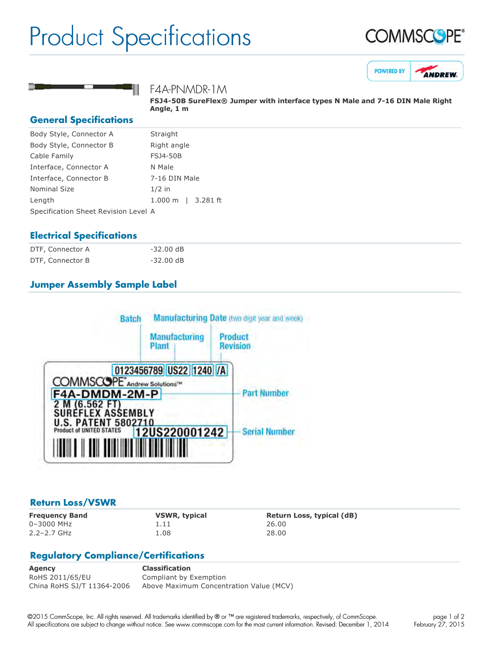## Product Specifications







F4A-PNMDR-1M

**FSJ450B SureFlex® Jumper with interface types N Male and 716 DIN Male Right Angle, 1 m**

#### **General Specifications**

| Straight                             |  |  |
|--------------------------------------|--|--|
| Right angle                          |  |  |
| <b>FSJ4-50B</b>                      |  |  |
| N Male                               |  |  |
| 7-16 DIN Male                        |  |  |
| $1/2$ in                             |  |  |
| $1.000 \;{\rm m}$<br>3.281 ft        |  |  |
| Specification Sheet Revision Level A |  |  |
|                                      |  |  |

#### **Electrical Specifications**

| DTF, Connector A | -32.00 dB           |
|------------------|---------------------|
| DTF, Connector B | $-32.00 \text{ dB}$ |

### **Jumper Assembly Sample Label**



#### **Return Loss/VSWR**

0–3000 MHz 1.11 26.00 2.2–2.7 GHz 1.08 28.00

**Frequency Band VSWR, typical Return Loss, typical (dB)**

### **Regulatory Compliance/Certifications**

**Agency Classification** RoHS 2011/65/EU Compliant by Exemption China RoHS SJ/T 11364-2006 Above Maximum Concentration Value (MCV)

©2015 CommScope, Inc. All rights reserved. All trademarks identified by ® or ™ are registered trademarks, respectively, of CommScope. All specifications are subject to change without notice. See www.commscope.com for the most current information. Revised: December 1, 2014